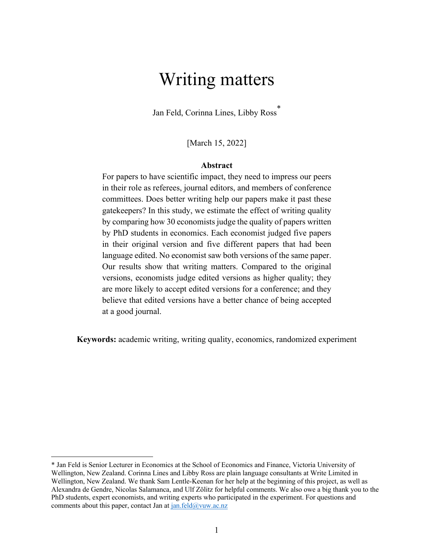# Writing matters

Jan Feld, Corinna Lines, Libby Ross \*

[March 15, 2022]

#### **Abstract**

For papers to have scientific impact, they need to impress our peers in their role as referees, journal editors, and members of conference committees. Does better writing help our papers make it past these gatekeepers? In this study, we estimate the effect of writing quality by comparing how 30 economists judge the quality of papers written by PhD students in economics. Each economist judged five papers in their original version and five different papers that had been language edited. No economist saw both versions of the same paper. Our results show that writing matters. Compared to the original versions, economists judge edited versions as higher quality; they are more likely to accept edited versions for a conference; and they believe that edited versions have a better chance of being accepted at a good journal.

**Keywords:** academic writing, writing quality, economics, randomized experiment

<sup>\*</sup> Jan Feld is Senior Lecturer in Economics at the School of Economics and Finance, Victoria University of Wellington, New Zealand. Corinna Lines and Libby Ross are plain language consultants at Write Limited in Wellington, New Zealand. We thank Sam Lentle-Keenan for her help at the beginning of this project, as well as Alexandra de Gendre, Nicolas Salamanca, and Ulf Zölitz for helpful comments. We also owe a big thank you to the PhD students, expert economists, and writing experts who participated in the experiment. For questions and comments about this paper, contact Jan at  $jan.feld@vuw.ac.nz$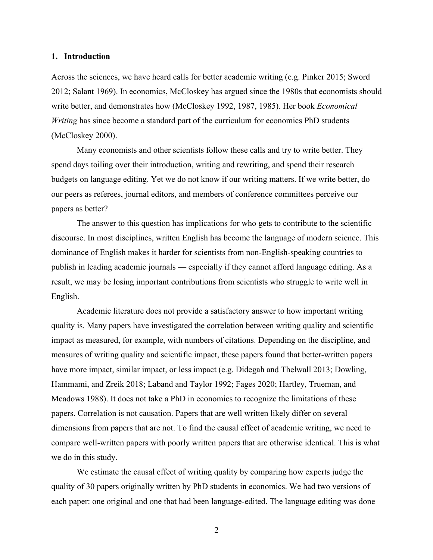#### **1. Introduction**

Across the sciences, we have heard calls for better academic writing (e.g. Pinker 2015; Sword 2012; Salant 1969). In economics, McCloskey has argued since the 1980s that economists should write better, and demonstrates how (McCloskey 1992, 1987, 1985). Her book *Economical Writing* has since become a standard part of the curriculum for economics PhD students (McCloskey 2000).

Many economists and other scientists follow these calls and try to write better. They spend days toiling over their introduction, writing and rewriting, and spend their research budgets on language editing. Yet we do not know if our writing matters. If we write better, do our peers as referees, journal editors, and members of conference committees perceive our papers as better?

The answer to this question has implications for who gets to contribute to the scientific discourse. In most disciplines, written English has become the language of modern science. This dominance of English makes it harder for scientists from non-English-speaking countries to publish in leading academic journals — especially if they cannot afford language editing. As a result, we may be losing important contributions from scientists who struggle to write well in English.

Academic literature does not provide a satisfactory answer to how important writing quality is. Many papers have investigated the correlation between writing quality and scientific impact as measured, for example, with numbers of citations. Depending on the discipline, and measures of writing quality and scientific impact, these papers found that better-written papers have more impact, similar impact, or less impact (e.g. Didegah and Thelwall 2013; Dowling, Hammami, and Zreik 2018; Laband and Taylor 1992; Fages 2020; Hartley, Trueman, and Meadows 1988). It does not take a PhD in economics to recognize the limitations of these papers. Correlation is not causation. Papers that are well written likely differ on several dimensions from papers that are not. To find the causal effect of academic writing, we need to compare well-written papers with poorly written papers that are otherwise identical. This is what we do in this study.

We estimate the causal effect of writing quality by comparing how experts judge the quality of 30 papers originally written by PhD students in economics. We had two versions of each paper: one original and one that had been language-edited. The language editing was done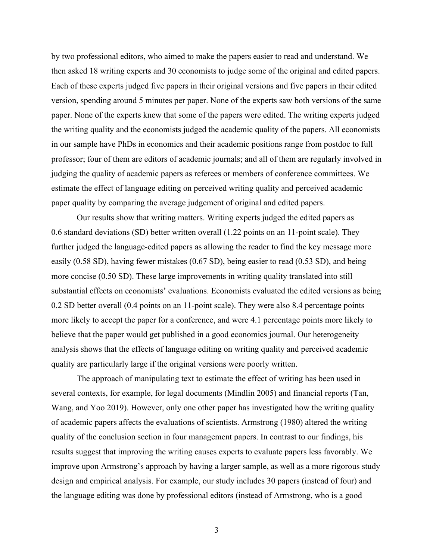by two professional editors, who aimed to make the papers easier to read and understand. We then asked 18 writing experts and 30 economists to judge some of the original and edited papers. Each of these experts judged five papers in their original versions and five papers in their edited version, spending around 5 minutes per paper. None of the experts saw both versions of the same paper. None of the experts knew that some of the papers were edited. The writing experts judged the writing quality and the economists judged the academic quality of the papers. All economists in our sample have PhDs in economics and their academic positions range from postdoc to full professor; four of them are editors of academic journals; and all of them are regularly involved in judging the quality of academic papers as referees or members of conference committees. We estimate the effect of language editing on perceived writing quality and perceived academic paper quality by comparing the average judgement of original and edited papers.

Our results show that writing matters. Writing experts judged the edited papers as 0.6 standard deviations (SD) better written overall (1.22 points on an 11-point scale). They further judged the language-edited papers as allowing the reader to find the key message more easily (0.58 SD), having fewer mistakes (0.67 SD), being easier to read (0.53 SD), and being more concise (0.50 SD). These large improvements in writing quality translated into still substantial effects on economists' evaluations. Economists evaluated the edited versions as being 0.2 SD better overall (0.4 points on an 11-point scale). They were also 8.4 percentage points more likely to accept the paper for a conference, and were 4.1 percentage points more likely to believe that the paper would get published in a good economics journal. Our heterogeneity analysis shows that the effects of language editing on writing quality and perceived academic quality are particularly large if the original versions were poorly written.

The approach of manipulating text to estimate the effect of writing has been used in several contexts, for example, for legal documents (Mindlin 2005) and financial reports (Tan, Wang, and Yoo 2019). However, only one other paper has investigated how the writing quality of academic papers affects the evaluations of scientists. Armstrong (1980) altered the writing quality of the conclusion section in four management papers. In contrast to our findings, his results suggest that improving the writing causes experts to evaluate papers less favorably. We improve upon Armstrong's approach by having a larger sample, as well as a more rigorous study design and empirical analysis. For example, our study includes 30 papers (instead of four) and the language editing was done by professional editors (instead of Armstrong, who is a good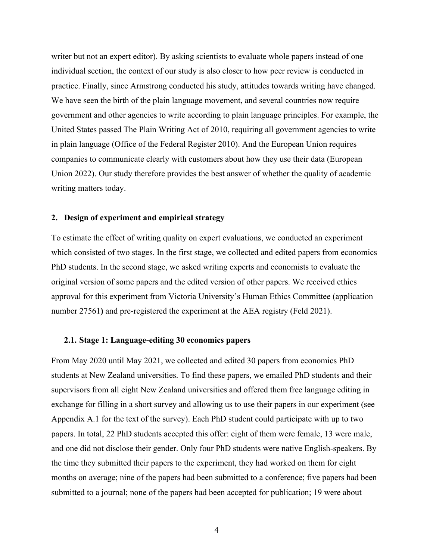writer but not an expert editor). By asking scientists to evaluate whole papers instead of one individual section, the context of our study is also closer to how peer review is conducted in practice. Finally, since Armstrong conducted his study, attitudes towards writing have changed. We have seen the birth of the plain language movement, and several countries now require government and other agencies to write according to plain language principles. For example, the United States passed The Plain Writing Act of 2010, requiring all government agencies to write in plain language (Office of the Federal Register 2010). And the European Union requires companies to communicate clearly with customers about how they use their data (European Union 2022). Our study therefore provides the best answer of whether the quality of academic writing matters today.

## **2. Design of experiment and empirical strategy**

To estimate the effect of writing quality on expert evaluations, we conducted an experiment which consisted of two stages. In the first stage, we collected and edited papers from economics PhD students. In the second stage, we asked writing experts and economists to evaluate the original version of some papers and the edited version of other papers. We received ethics approval for this experiment from Victoria University's Human Ethics Committee (application number 27561**)** and pre-registered the experiment at the AEA registry (Feld 2021).

#### **2.1. Stage 1: Language-editing 30 economics papers**

From May 2020 until May 2021, we collected and edited 30 papers from economics PhD students at New Zealand universities. To find these papers, we emailed PhD students and their supervisors from all eight New Zealand universities and offered them free language editing in exchange for filling in a short survey and allowing us to use their papers in our experiment (see Appendix A.1 for the text of the survey). Each PhD student could participate with up to two papers. In total, 22 PhD students accepted this offer: eight of them were female, 13 were male, and one did not disclose their gender. Only four PhD students were native English-speakers. By the time they submitted their papers to the experiment, they had worked on them for eight months on average; nine of the papers had been submitted to a conference; five papers had been submitted to a journal; none of the papers had been accepted for publication; 19 were about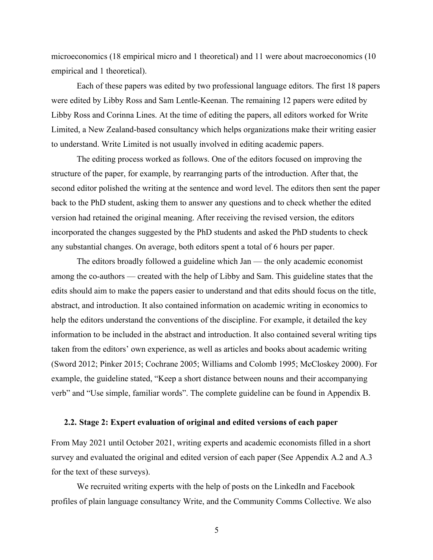microeconomics (18 empirical micro and 1 theoretical) and 11 were about macroeconomics (10 empirical and 1 theoretical).

Each of these papers was edited by two professional language editors. The first 18 papers were edited by Libby Ross and Sam Lentle-Keenan. The remaining 12 papers were edited by Libby Ross and Corinna Lines. At the time of editing the papers, all editors worked for Write Limited, a New Zealand-based consultancy which helps organizations make their writing easier to understand. Write Limited is not usually involved in editing academic papers.

The editing process worked as follows. One of the editors focused on improving the structure of the paper, for example, by rearranging parts of the introduction. After that, the second editor polished the writing at the sentence and word level. The editors then sent the paper back to the PhD student, asking them to answer any questions and to check whether the edited version had retained the original meaning. After receiving the revised version, the editors incorporated the changes suggested by the PhD students and asked the PhD students to check any substantial changes. On average, both editors spent a total of 6 hours per paper.

The editors broadly followed a guideline which Jan — the only academic economist among the co-authors — created with the help of Libby and Sam. This guideline states that the edits should aim to make the papers easier to understand and that edits should focus on the title, abstract, and introduction. It also contained information on academic writing in economics to help the editors understand the conventions of the discipline. For example, it detailed the key information to be included in the abstract and introduction. It also contained several writing tips taken from the editors' own experience, as well as articles and books about academic writing (Sword 2012; Pinker 2015; Cochrane 2005; Williams and Colomb 1995; McCloskey 2000). For example, the guideline stated, "Keep a short distance between nouns and their accompanying verb" and "Use simple, familiar words". The complete guideline can be found in Appendix B.

#### **2.2. Stage 2: Expert evaluation of original and edited versions of each paper**

From May 2021 until October 2021, writing experts and academic economists filled in a short survey and evaluated the original and edited version of each paper (See Appendix A.2 and A.3 for the text of these surveys).

We recruited writing experts with the help of posts on the LinkedIn and Facebook profiles of plain language consultancy Write, and the Community Comms Collective. We also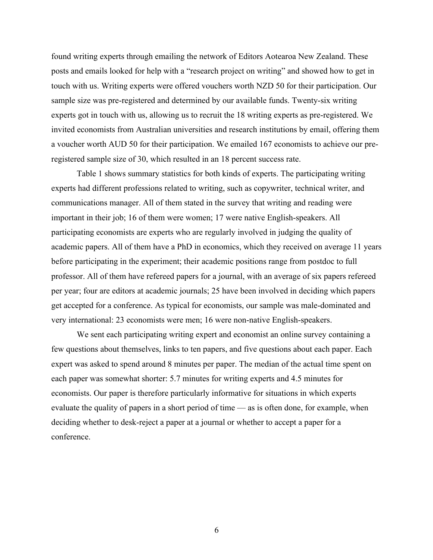found writing experts through emailing the network of Editors Aotearoa New Zealand. These posts and emails looked for help with a "research project on writing" and showed how to get in touch with us. Writing experts were offered vouchers worth NZD 50 for their participation. Our sample size was pre-registered and determined by our available funds. Twenty-six writing experts got in touch with us, allowing us to recruit the 18 writing experts as pre-registered. We invited economists from Australian universities and research institutions by email, offering them a voucher worth AUD 50 for their participation. We emailed 167 economists to achieve our preregistered sample size of 30, which resulted in an 18 percent success rate.

Table 1 shows summary statistics for both kinds of experts. The participating writing experts had different professions related to writing, such as copywriter, technical writer, and communications manager. All of them stated in the survey that writing and reading were important in their job; 16 of them were women; 17 were native English-speakers. All participating economists are experts who are regularly involved in judging the quality of academic papers. All of them have a PhD in economics, which they received on average 11 years before participating in the experiment; their academic positions range from postdoc to full professor. All of them have refereed papers for a journal, with an average of six papers refereed per year; four are editors at academic journals; 25 have been involved in deciding which papers get accepted for a conference. As typical for economists, our sample was male-dominated and very international: 23 economists were men; 16 were non-native English-speakers.

We sent each participating writing expert and economist an online survey containing a few questions about themselves, links to ten papers, and five questions about each paper. Each expert was asked to spend around 8 minutes per paper. The median of the actual time spent on each paper was somewhat shorter: 5.7 minutes for writing experts and 4.5 minutes for economists. Our paper is therefore particularly informative for situations in which experts evaluate the quality of papers in a short period of time — as is often done, for example, when deciding whether to desk-reject a paper at a journal or whether to accept a paper for a conference.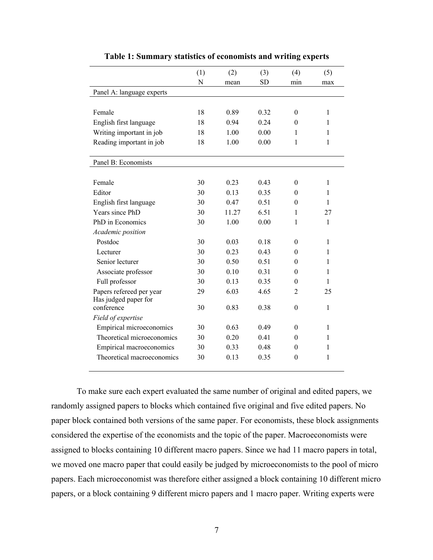|                                 | (1) | (2)   | (3)       | (4)              | (5)          |
|---------------------------------|-----|-------|-----------|------------------|--------------|
|                                 | N   | mean  | <b>SD</b> | min              | max          |
| Panel A: language experts       |     |       |           |                  |              |
|                                 |     |       |           |                  |              |
| Female                          | 18  | 0.89  | 0.32      | $\theta$         | 1            |
| English first language          | 18  | 0.94  | 0.24      | $\theta$         | 1            |
| Writing important in job        | 18  | 1.00  | 0.00      | 1                | 1            |
| Reading important in job        | 18  | 1.00  | 0.00      | 1                | 1            |
|                                 |     |       |           |                  |              |
| Panel B: Economists             |     |       |           |                  |              |
|                                 |     |       |           |                  |              |
| Female                          | 30  | 0.23  | 0.43      | $\theta$         | 1            |
| Editor                          | 30  | 0.13  | 0.35      | 0                | 1            |
| English first language          | 30  | 0.47  | 0.51      | 0                | $\mathbf{1}$ |
| Years since PhD                 | 30  | 11.27 | 6.51      | 1                | 27           |
| PhD in Economics                | 30  | 1.00  | 0.00      | $\mathbf{1}$     | $\mathbf{1}$ |
| Academic position               |     |       |           |                  |              |
| Postdoc                         | 30  | 0.03  | 0.18      | $\theta$         | 1            |
| Lecturer                        | 30  | 0.23  | 0.43      | 0                | 1            |
| Senior lecturer                 | 30  | 0.50  | 0.51      | $\theta$         | 1            |
| Associate professor             | 30  | 0.10  | 0.31      | 0                | 1            |
| Full professor                  | 30  | 0.13  | 0.35      | $\theta$         | 1            |
| Papers refereed per year        | 29  | 6.03  | 4.65      | 2                | 25           |
| Has judged paper for            |     |       |           |                  |              |
| conference                      | 30  | 0.83  | 0.38      | $\boldsymbol{0}$ | $\mathbf{1}$ |
| Field of expertise              |     |       |           |                  |              |
| <b>Empirical microeconomics</b> | 30  | 0.63  | 0.49      | $\theta$         | 1            |
| Theoretical microeconomics      | 30  | 0.20  | 0.41      | 0                | 1            |
| Empirical macroeconomics        | 30  | 0.33  | 0.48      | $\theta$         | 1            |
| Theoretical macroeconomics      | 30  | 0.13  | 0.35      | $\theta$         | 1            |

**Table 1: Summary statistics of economists and writing experts**

To make sure each expert evaluated the same number of original and edited papers, we randomly assigned papers to blocks which contained five original and five edited papers. No paper block contained both versions of the same paper. For economists, these block assignments considered the expertise of the economists and the topic of the paper. Macroeconomists were assigned to blocks containing 10 different macro papers. Since we had 11 macro papers in total, we moved one macro paper that could easily be judged by microeconomists to the pool of micro papers. Each microeconomist was therefore either assigned a block containing 10 different micro papers, or a block containing 9 different micro papers and 1 macro paper. Writing experts were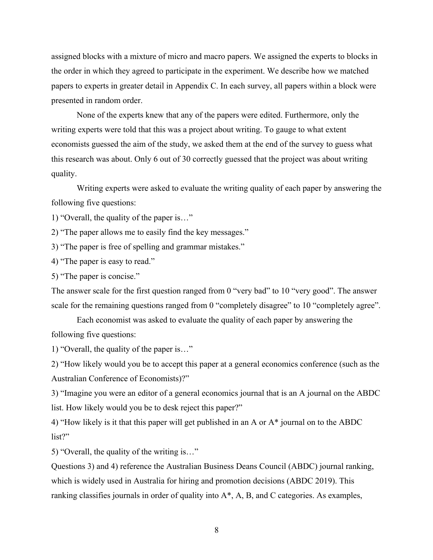assigned blocks with a mixture of micro and macro papers. We assigned the experts to blocks in the order in which they agreed to participate in the experiment. We describe how we matched papers to experts in greater detail in Appendix C. In each survey, all papers within a block were presented in random order.

None of the experts knew that any of the papers were edited. Furthermore, only the writing experts were told that this was a project about writing. To gauge to what extent economists guessed the aim of the study, we asked them at the end of the survey to guess what this research was about. Only 6 out of 30 correctly guessed that the project was about writing quality.

Writing experts were asked to evaluate the writing quality of each paper by answering the following five questions:

1) "Overall, the quality of the paper is…"

2) "The paper allows me to easily find the key messages."

3) "The paper is free of spelling and grammar mistakes."

4) "The paper is easy to read."

5) "The paper is concise."

The answer scale for the first question ranged from 0 "very bad" to 10 "very good". The answer scale for the remaining questions ranged from 0 "completely disagree" to 10 "completely agree".

Each economist was asked to evaluate the quality of each paper by answering the following five questions:

1) "Overall, the quality of the paper is…"

2) "How likely would you be to accept this paper at a general economics conference (such as the Australian Conference of Economists)?"

3) "Imagine you were an editor of a general economics journal that is an A journal on the ABDC list. How likely would you be to desk reject this paper?"

4) "How likely is it that this paper will get published in an A or A\* journal on to the ABDC list?"

5) "Overall, the quality of the writing is…"

Questions 3) and 4) reference the Australian Business Deans Council (ABDC) journal ranking, which is widely used in Australia for hiring and promotion decisions (ABDC 2019). This ranking classifies journals in order of quality into A\*, A, B, and C categories. As examples,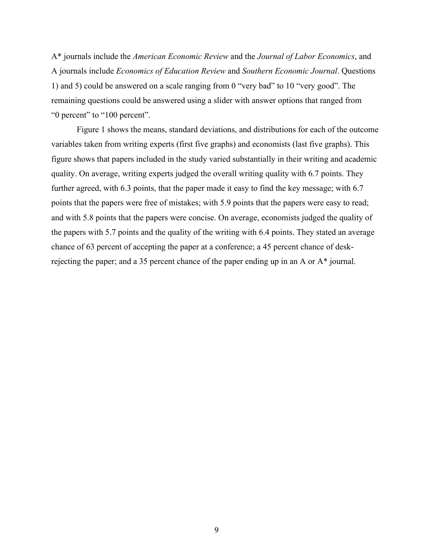A\* journals include the *American Economic Review* and the *Journal of Labor Economics*, and A journals include *Economics of Education Review* and *Southern Economic Journal*. Questions 1) and 5) could be answered on a scale ranging from 0 "very bad" to 10 "very good". The remaining questions could be answered using a slider with answer options that ranged from "0 percent" to "100 percent".

Figure 1 shows the means, standard deviations, and distributions for each of the outcome variables taken from writing experts (first five graphs) and economists (last five graphs). This figure shows that papers included in the study varied substantially in their writing and academic quality. On average, writing experts judged the overall writing quality with 6.7 points. They further agreed, with 6.3 points, that the paper made it easy to find the key message; with 6.7 points that the papers were free of mistakes; with 5.9 points that the papers were easy to read; and with 5.8 points that the papers were concise. On average, economists judged the quality of the papers with 5.7 points and the quality of the writing with 6.4 points. They stated an average chance of 63 percent of accepting the paper at a conference; a 45 percent chance of deskrejecting the paper; and a 35 percent chance of the paper ending up in an A or A\* journal.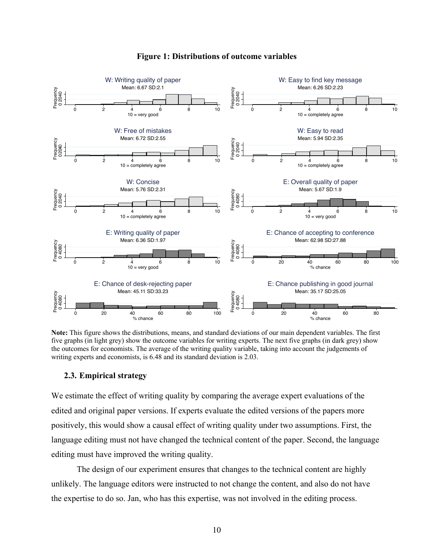

# **Figure 1: Distributions of outcome variables**

**Note:** This figure shows the distributions, means, and standard deviations of our main dependent variables. The first five graphs (in light grey) show the outcome variables for writing experts. The next five graphs (in dark grey) show the outcomes for economists. The average of the writing quality variable, taking into account the judgements of writing experts and economists, is 6.48 and its standard deviation is 2.03.

# **2.3. Empirical strategy**

We estimate the effect of writing quality by comparing the average expert evaluations of the edited and original paper versions. If experts evaluate the edited versions of the papers more positively, this would show a causal effect of writing quality under two assumptions. First, the language editing must not have changed the technical content of the paper. Second, the language editing must have improved the writing quality.

The design of our experiment ensures that changes to the technical content are highly unlikely. The language editors were instructed to not change the content, and also do not have the expertise to do so. Jan, who has this expertise, was not involved in the editing process.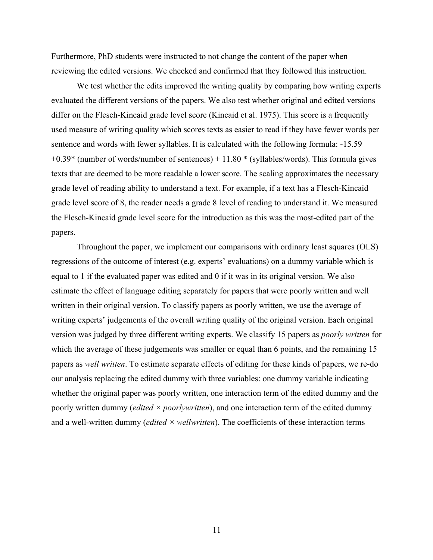Furthermore, PhD students were instructed to not change the content of the paper when reviewing the edited versions. We checked and confirmed that they followed this instruction.

We test whether the edits improved the writing quality by comparing how writing experts evaluated the different versions of the papers. We also test whether original and edited versions differ on the Flesch-Kincaid grade level score (Kincaid et al. 1975). This score is a frequently used measure of writing quality which scores texts as easier to read if they have fewer words per sentence and words with fewer syllables. It is calculated with the following formula: -15.59 +0.39\* (number of words/number of sentences) + 11.80 \* (syllables/words). This formula gives texts that are deemed to be more readable a lower score. The scaling approximates the necessary grade level of reading ability to understand a text. For example, if a text has a Flesch-Kincaid grade level score of 8, the reader needs a grade 8 level of reading to understand it. We measured the Flesch-Kincaid grade level score for the introduction as this was the most-edited part of the papers.

Throughout the paper, we implement our comparisons with ordinary least squares (OLS) regressions of the outcome of interest (e.g. experts' evaluations) on a dummy variable which is equal to 1 if the evaluated paper was edited and 0 if it was in its original version. We also estimate the effect of language editing separately for papers that were poorly written and well written in their original version. To classify papers as poorly written, we use the average of writing experts' judgements of the overall writing quality of the original version. Each original version was judged by three different writing experts. We classify 15 papers as *poorly written* for which the average of these judgements was smaller or equal than 6 points, and the remaining 15 papers as *well written*. To estimate separate effects of editing for these kinds of papers, we re-do our analysis replacing the edited dummy with three variables: one dummy variable indicating whether the original paper was poorly written, one interaction term of the edited dummy and the poorly written dummy (*edited × poorlywritten*), and one interaction term of the edited dummy and a well-written dummy (*edited × wellwritten*). The coefficients of these interaction terms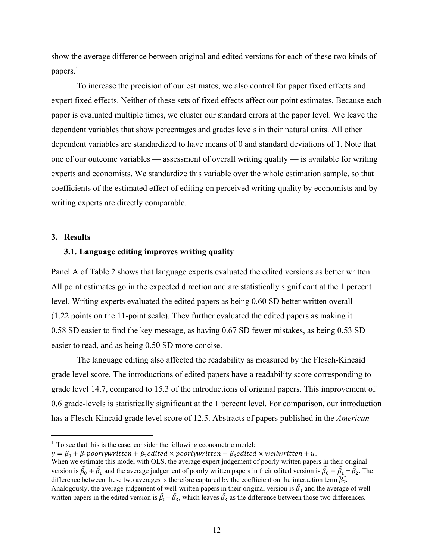show the average difference between original and edited versions for each of these two kinds of papers.<sup>1</sup>

To increase the precision of our estimates, we also control for paper fixed effects and expert fixed effects. Neither of these sets of fixed effects affect our point estimates. Because each paper is evaluated multiple times, we cluster our standard errors at the paper level. We leave the dependent variables that show percentages and grades levels in their natural units. All other dependent variables are standardized to have means of 0 and standard deviations of 1. Note that one of our outcome variables — assessment of overall writing quality — is available for writing experts and economists. We standardize this variable over the whole estimation sample, so that coefficients of the estimated effect of editing on perceived writing quality by economists and by writing experts are directly comparable.

#### **3. Results**

#### **3.1. Language editing improves writing quality**

Panel A of Table 2 shows that language experts evaluated the edited versions as better written. All point estimates go in the expected direction and are statistically significant at the 1 percent level. Writing experts evaluated the edited papers as being 0.60 SD better written overall (1.22 points on the 11-point scale). They further evaluated the edited papers as making it 0.58 SD easier to find the key message, as having 0.67 SD fewer mistakes, as being 0.53 SD easier to read, and as being 0.50 SD more concise.

The language editing also affected the readability as measured by the Flesch-Kincaid grade level score. The introductions of edited papers have a readability score corresponding to grade level 14.7, compared to 15.3 of the introductions of original papers. This improvement of 0.6 grade-levels is statistically significant at the 1 percent level. For comparison, our introduction has a Flesch-Kincaid grade level score of 12.5. Abstracts of papers published in the *American* 

 $<sup>1</sup>$  To see that this is the case, consider the following econometric model:</sup>

 $y = \beta_0 + \beta_1$  poorlywritten +  $\beta_2$ edited  $\times$  poorlywritten +  $\beta_3$ edited  $\times$  wellwritten + u. When we estimate this model with OLS, the average expert judgement of poorly written papers in their original version is  $\widehat{\beta_0} + \widehat{\beta_1}$  and the average judgement of poorly written papers in their edited version is  $\widehat{\beta_0} + \widehat{\beta_1} + \widehat{\beta_2}$ . The difference between these two averages is therefore captured by the coefficient on the interaction term  $\widehat{\beta_2}$ . Analogously, the average judgement of well-written papers in their original version is  $\widehat{\beta_0}$  and the average of wellwritten papers in the edited version is  $\widehat{\beta_0}$ + $\widehat{\beta_3}$ , which leaves  $\widehat{\beta_3}$  as the difference between those two differences.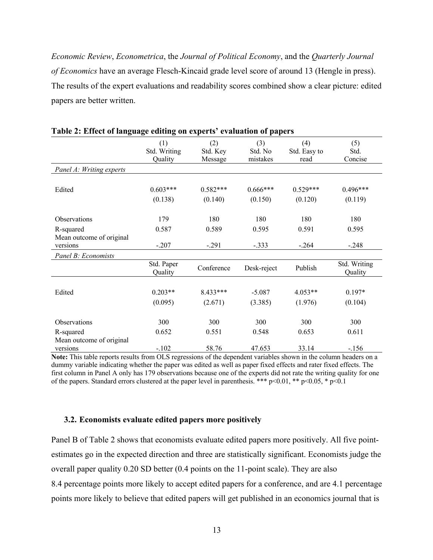*Economic Review*, *Econometrica*, the *Journal of Political Economy*, and the *Quarterly Journal of Economics* have an average Flesch-Kincaid grade level score of around 13 (Hengle in press). The results of the expert evaluations and readability scores combined show a clear picture: edited papers are better written.

|                                       | (1)                   | (2)        | (3)         | (4)          | (5)                     |
|---------------------------------------|-----------------------|------------|-------------|--------------|-------------------------|
|                                       | Std. Writing          | Std. Key   | Std. No     | Std. Easy to | Std.                    |
|                                       | Quality               | Message    | mistakes    | read         | Concise                 |
| Panel A: Writing experts              |                       |            |             |              |                         |
|                                       |                       |            |             |              |                         |
| Edited                                | $0.603***$            | $0.582***$ | $0.666***$  | $0.529***$   | $0.496***$              |
|                                       | (0.138)               | (0.140)    | (0.150)     | (0.120)      | (0.119)                 |
|                                       |                       |            |             |              |                         |
| <b>Observations</b>                   | 179                   | 180        | 180         | 180          | 180                     |
| R-squared                             | 0.587                 | 0.589      | 0.595       | 0.591        | 0.595                   |
| Mean outcome of original              |                       |            |             |              |                         |
| versions                              | $-.207$               | $-.291$    | $-.333$     | $-.264$      | $-.248$                 |
| Panel B: Economists                   |                       |            |             |              |                         |
|                                       | Std. Paper<br>Quality | Conference | Desk-reject | Publish      | Std. Writing<br>Quality |
|                                       |                       |            |             |              |                         |
| Edited                                | $0.203**$             | 8.433***   | $-5.087$    | $4.053**$    | $0.197*$                |
|                                       | (0.095)               | (2.671)    | (3.385)     | (1.976)      | (0.104)                 |
| <b>Observations</b>                   | 300                   | 300        | 300         | 300          | 300                     |
|                                       | 0.652                 | 0.551      | 0.548       | 0.653        | 0.611                   |
| R-squared<br>Mean outcome of original |                       |            |             |              |                         |
| versions                              | $-.102$               | 58.76      | 47.653      | 33.14        | $-.156$                 |

#### **Table 2: Effect of language editing on experts' evaluation of papers**

**Note:** This table reports results from OLS regressions of the dependent variables shown in the column headers on a dummy variable indicating whether the paper was edited as well as paper fixed effects and rater fixed effects. The first column in Panel A only has 179 observations because one of the experts did not rate the writing quality for one of the papers. Standard errors clustered at the paper level in parenthesis. \*\*\*  $p<0.01$ , \*\*  $p<0.05$ , \*  $p<0.1$ 

## **3.2. Economists evaluate edited papers more positively**

Panel B of Table 2 shows that economists evaluate edited papers more positively. All five pointestimates go in the expected direction and three are statistically significant. Economists judge the overall paper quality 0.20 SD better (0.4 points on the 11-point scale). They are also 8.4 percentage points more likely to accept edited papers for a conference, and are 4.1 percentage points more likely to believe that edited papers will get published in an economics journal that is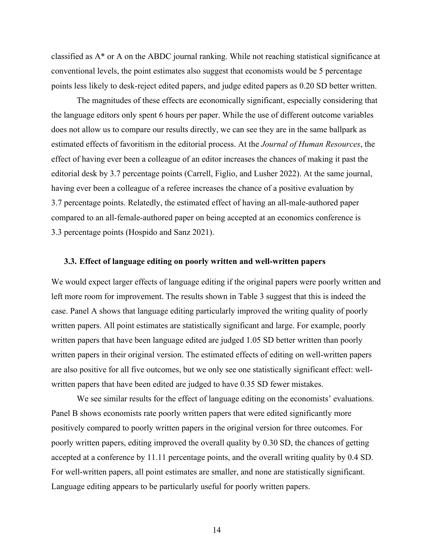classified as A\* or A on the ABDC journal ranking. While not reaching statistical significance at conventional levels, the point estimates also suggest that economists would be 5 percentage points less likely to desk-reject edited papers, and judge edited papers as 0.20 SD better written.

The magnitudes of these effects are economically significant, especially considering that the language editors only spent 6 hours per paper. While the use of different outcome variables does not allow us to compare our results directly, we can see they are in the same ballpark as estimated effects of favoritism in the editorial process. At the *Journal of Human Resources*, the effect of having ever been a colleague of an editor increases the chances of making it past the editorial desk by 3.7 percentage points (Carrell, Figlio, and Lusher 2022). At the same journal, having ever been a colleague of a referee increases the chance of a positive evaluation by 3.7 percentage points. Relatedly, the estimated effect of having an all-male-authored paper compared to an all-female-authored paper on being accepted at an economics conference is 3.3 percentage points (Hospido and Sanz 2021).

#### **3.3. Effect of language editing on poorly written and well-written papers**

We would expect larger effects of language editing if the original papers were poorly written and left more room for improvement. The results shown in Table 3 suggest that this is indeed the case. Panel A shows that language editing particularly improved the writing quality of poorly written papers. All point estimates are statistically significant and large. For example, poorly written papers that have been language edited are judged 1.05 SD better written than poorly written papers in their original version. The estimated effects of editing on well-written papers are also positive for all five outcomes, but we only see one statistically significant effect: wellwritten papers that have been edited are judged to have 0.35 SD fewer mistakes.

We see similar results for the effect of language editing on the economists' evaluations. Panel B shows economists rate poorly written papers that were edited significantly more positively compared to poorly written papers in the original version for three outcomes. For poorly written papers, editing improved the overall quality by 0.30 SD, the chances of getting accepted at a conference by 11.11 percentage points, and the overall writing quality by 0.4 SD. For well-written papers, all point estimates are smaller, and none are statistically significant. Language editing appears to be particularly useful for poorly written papers.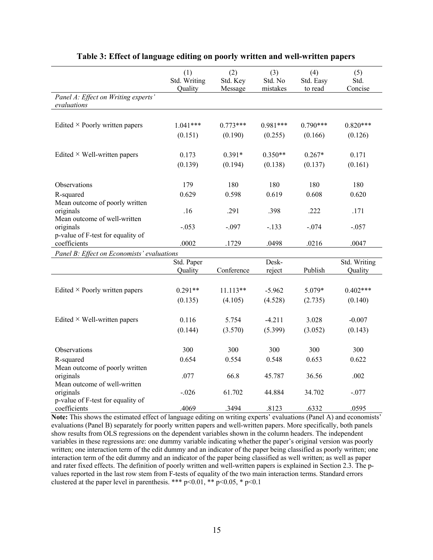|                                                    | (1)<br>Std. Writing<br>Quality | (2)<br>Std. Key<br>Message | (3)<br>Std. No<br>mistakes | (4)<br>Std. Easy<br>to read | (5)<br>Std.<br>Concise |
|----------------------------------------------------|--------------------------------|----------------------------|----------------------------|-----------------------------|------------------------|
| Panel A: Effect on Writing experts'<br>evaluations |                                |                            |                            |                             |                        |
|                                                    |                                |                            |                            |                             |                        |
| Edited $\times$ Poorly written papers              | $1.041***$                     | $0.773***$                 | $0.981***$                 | $0.790***$                  | $0.820***$             |
|                                                    | (0.151)                        | (0.190)                    | (0.255)                    | (0.166)                     | (0.126)                |
| Edited $\times$ Well-written papers                | 0.173                          | $0.391*$                   | $0.350**$                  | $0.267*$                    | 0.171                  |
|                                                    | (0.139)                        | (0.194)                    | (0.138)                    | (0.137)                     | (0.161)                |
|                                                    |                                |                            |                            |                             |                        |
| Observations                                       | 179                            | 180                        | 180                        | 180                         | 180                    |
| R-squared<br>Mean outcome of poorly written        | 0.629                          | 0.598                      | 0.619                      | 0.608                       | 0.620                  |
| originals                                          | .16                            | .291                       | .398                       | .222                        | .171                   |
| Mean outcome of well-written                       |                                |                            |                            |                             |                        |
| originals<br>p-value of F-test for equality of     | $-.053$                        | $-.097$                    | $-.133$                    | $-.074$                     | $-.057$                |
| coefficients                                       | .0002                          | .1729                      | .0498                      | .0216                       | .0047                  |
| Panel B: Effect on Economists' evaluations         |                                |                            |                            |                             |                        |
|                                                    | Std. Paper                     |                            | Desk-                      |                             | Std. Writing           |
|                                                    | Quality                        | Conference                 | reject                     | Publish                     | Quality                |
|                                                    |                                |                            |                            |                             |                        |
| Edited $\times$ Poorly written papers              | $0.291**$                      | $11.113**$                 | $-5.962$                   | 5.079*                      | $0.402***$             |
|                                                    | (0.135)                        | (4.105)                    | (4.528)                    | (2.735)                     | (0.140)                |
| Edited $\times$ Well-written papers                | 0.116                          | 5.754                      | $-4.211$                   | 3.028                       | $-0.007$               |
|                                                    | (0.144)                        | (3.570)                    | (5.399)                    | (3.052)                     | (0.143)                |
|                                                    |                                |                            |                            |                             |                        |
| Observations                                       | 300                            | 300                        | 300                        | 300                         | 300                    |
| R-squared                                          | 0.654                          | 0.554                      | 0.548                      | 0.653                       | 0.622                  |
| Mean outcome of poorly written                     |                                |                            |                            |                             |                        |
| originals<br>Mean outcome of well-written          | .077                           | 66.8                       | 45.787                     | 36.56                       | .002                   |
| originals                                          | $-.026$                        | 61.702                     | 44.884                     | 34.702                      | $-.077$                |
| p-value of F-test for equality of                  |                                |                            |                            |                             |                        |
| coefficients                                       | .4069                          | .3494                      | .8123                      | .6332                       | .0595                  |

#### **Table 3: Effect of language editing on poorly written and well-written papers**

**Note:** This shows the estimated effect of language editing on writing experts' evaluations (Panel A) and economists' evaluations (Panel B) separately for poorly written papers and well-written papers. More specifically, both panels show results from OLS regressions on the dependent variables shown in the column headers. The independent variables in these regressions are: one dummy variable indicating whether the paper's original version was poorly written; one interaction term of the edit dummy and an indicator of the paper being classified as poorly written; one interaction term of the edit dummy and an indicator of the paper being classified as well written; as well as paper and rater fixed effects. The definition of poorly written and well-written papers is explained in Section 2.3. The pvalues reported in the last row stem from F-tests of equality of the two main interaction terms. Standard errors clustered at the paper level in parenthesis. \*\*\*  $p<0.01$ , \*\*  $p<0.05$ , \*  $p<0.1$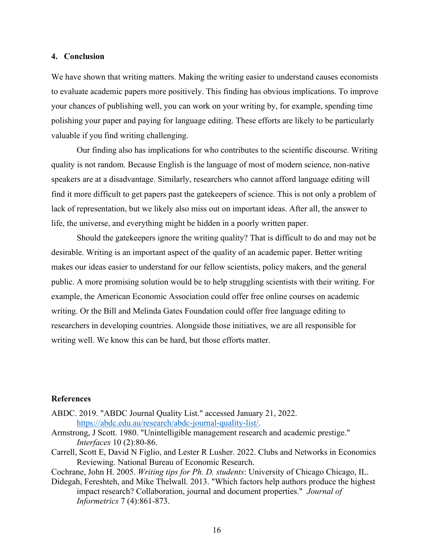#### **4. Conclusion**

We have shown that writing matters. Making the writing easier to understand causes economists to evaluate academic papers more positively. This finding has obvious implications. To improve your chances of publishing well, you can work on your writing by, for example, spending time polishing your paper and paying for language editing. These efforts are likely to be particularly valuable if you find writing challenging.

Our finding also has implications for who contributes to the scientific discourse. Writing quality is not random. Because English is the language of most of modern science, non-native speakers are at a disadvantage. Similarly, researchers who cannot afford language editing will find it more difficult to get papers past the gatekeepers of science. This is not only a problem of lack of representation, but we likely also miss out on important ideas. After all, the answer to life, the universe, and everything might be hidden in a poorly written paper.

Should the gatekeepers ignore the writing quality? That is difficult to do and may not be desirable. Writing is an important aspect of the quality of an academic paper. Better writing makes our ideas easier to understand for our fellow scientists, policy makers, and the general public. A more promising solution would be to help struggling scientists with their writing. For example, the American Economic Association could offer free online courses on academic writing. Or the Bill and Melinda Gates Foundation could offer free language editing to researchers in developing countries. Alongside those initiatives, we are all responsible for writing well. We know this can be hard, but those efforts matter.

#### **References**

- ABDC. 2019. "ABDC Journal Quality List." accessed January 21, 2022. https://abdc.edu.au/research/abdc-journal-quality-list/.
- Armstrong, J Scott. 1980. "Unintelligible management research and academic prestige." *Interfaces* 10 (2):80-86.
- Carrell, Scott E, David N Figlio, and Lester R Lusher. 2022. Clubs and Networks in Economics Reviewing. National Bureau of Economic Research.
- Cochrane, John H. 2005. *Writing tips for Ph. D. students*: University of Chicago Chicago, IL.
- Didegah, Fereshteh, and Mike Thelwall. 2013. "Which factors help authors produce the highest impact research? Collaboration, journal and document properties." *Journal of Informetrics* 7 (4):861-873.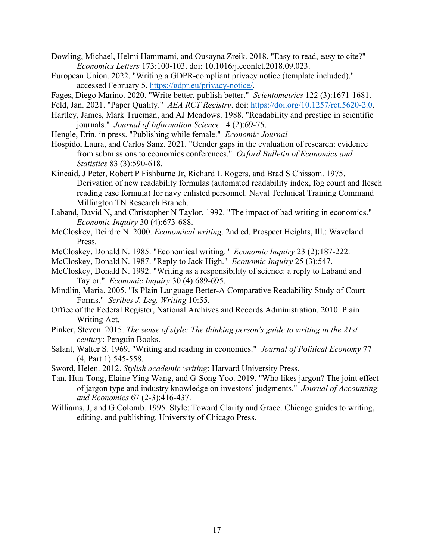Dowling, Michael, Helmi Hammami, and Ousayna Zreik. 2018. "Easy to read, easy to cite?" *Economics Letters* 173:100-103. doi: 10.1016/j.econlet.2018.09.023.

- European Union. 2022. "Writing a GDPR-compliant privacy notice (template included)." accessed February 5. https://gdpr.eu/privacy-notice/.
- Fages, Diego Marino. 2020. "Write better, publish better." *Scientometrics* 122 (3):1671-1681.
- Feld, Jan. 2021. "Paper Quality." *AEA RCT Registry*. doi: https://doi.org/10.1257/rct.5620-2.0.
- Hartley, James, Mark Trueman, and AJ Meadows. 1988. "Readability and prestige in scientific journals." *Journal of Information Science* 14 (2):69-75.
- Hengle, Erin. in press. "Publishing while female." *Economic Journal*
- Hospido, Laura, and Carlos Sanz. 2021. "Gender gaps in the evaluation of research: evidence from submissions to economics conferences." *Oxford Bulletin of Economics and Statistics* 83 (3):590-618.
- Kincaid, J Peter, Robert P Fishburne Jr, Richard L Rogers, and Brad S Chissom. 1975. Derivation of new readability formulas (automated readability index, fog count and flesch reading ease formula) for navy enlisted personnel. Naval Technical Training Command Millington TN Research Branch.
- Laband, David N, and Christopher N Taylor. 1992. "The impact of bad writing in economics." *Economic Inquiry* 30 (4):673-688.
- McCloskey, Deirdre N. 2000. *Economical writing*. 2nd ed. Prospect Heights, Ill.: Waveland Press.
- McCloskey, Donald N. 1985. "Economical writing." *Economic Inquiry* 23 (2):187-222.
- McCloskey, Donald N. 1987. "Reply to Jack High." *Economic Inquiry* 25 (3):547.
- McCloskey, Donald N. 1992. "Writing as a responsibility of science: a reply to Laband and Taylor." *Economic Inquiry* 30 (4):689-695.
- Mindlin, Maria. 2005. "Is Plain Language Better-A Comparative Readability Study of Court Forms." *Scribes J. Leg. Writing* 10:55.
- Office of the Federal Register, National Archives and Records Administration. 2010. Plain Writing Act.
- Pinker, Steven. 2015. *The sense of style: The thinking person's guide to writing in the 21st century*: Penguin Books.
- Salant, Walter S. 1969. "Writing and reading in economics." *Journal of Political Economy* 77 (4, Part 1):545-558.
- Sword, Helen. 2012. *Stylish academic writing*: Harvard University Press.
- Tan, Hun-Tong, Elaine Ying Wang, and G-Song Yoo. 2019. "Who likes jargon? The joint effect of jargon type and industry knowledge on investors' judgments." *Journal of Accounting and Economics* 67 (2-3):416-437.
- Williams, J, and G Colomb. 1995. Style: Toward Clarity and Grace. Chicago guides to writing, editing. and publishing. University of Chicago Press.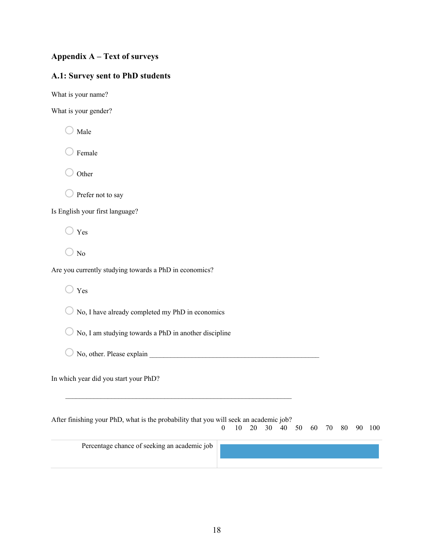# **Appendix A – Text of surveys**

# **A.1: Survey sent to PhD students**

What is your name?

What is your gender?

 $\bigcirc$  Male

Female

 $\bigcirc$  Other

 $\bigcirc$  Prefer not to say

Is English your first language?

 $\bigcirc$  Yes

 $\bigcirc$  No

Are you currently studying towards a PhD in economics?

 $\bigcirc$  Yes

 $\bigcirc$  No, I have already completed my PhD in economics

 $\bigcirc$  No, I am studying towards a PhD in another discipline

 $\bigcirc$  No, other. Please explain

In which year did you start your PhD?

After finishing your PhD, what is the probability that you will seek an academic job? 0 10 20 30 40 50 60 70 80 90 100

Percentage chance of seeking an academic job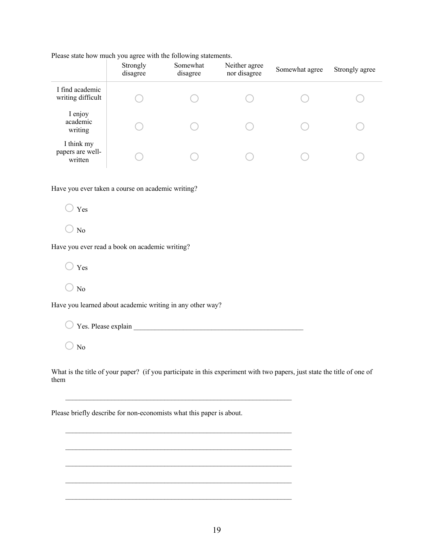Please state how much you agree with the following statements.

|                                           | Strongly<br>disagree | Somewhat<br>disagree | Neither agree<br>nor disagree | Somewhat agree | Strongly agree |
|-------------------------------------------|----------------------|----------------------|-------------------------------|----------------|----------------|
| I find academic<br>writing difficult      |                      |                      |                               |                |                |
| I enjoy<br>academic<br>writing            |                      |                      |                               |                |                |
| I think my<br>papers are well-<br>written |                      |                      |                               |                |                |

Have you ever taken a course on academic writing?

 $\bigcirc$  Yes

 $\bigcirc$  No

Have you ever read a book on academic writing?

 $\bigcirc$  Yes

 $\bigcirc$  No

Have you learned about academic writing in any other way?

 $\bigcirc$  Yes. Please explain

\_\_\_\_\_\_\_\_\_\_\_\_\_\_\_\_\_\_\_\_\_\_\_\_\_\_\_\_\_\_\_\_\_\_\_\_\_\_\_\_\_\_\_\_\_\_\_\_\_\_\_\_\_\_\_\_\_\_\_\_\_\_\_\_

\_\_\_\_\_\_\_\_\_\_\_\_\_\_\_\_\_\_\_\_\_\_\_\_\_\_\_\_\_\_\_\_\_\_\_\_\_\_\_\_\_\_\_\_\_\_\_\_\_\_\_\_\_\_\_\_\_\_\_\_\_\_\_\_

\_\_\_\_\_\_\_\_\_\_\_\_\_\_\_\_\_\_\_\_\_\_\_\_\_\_\_\_\_\_\_\_\_\_\_\_\_\_\_\_\_\_\_\_\_\_\_\_\_\_\_\_\_\_\_\_\_\_\_\_\_\_\_\_

 $\bigcirc$  No

What is the title of your paper? (if you participate in this experiment with two papers, just state the title of one of them

Please briefly describe for non-economists what this paper is about.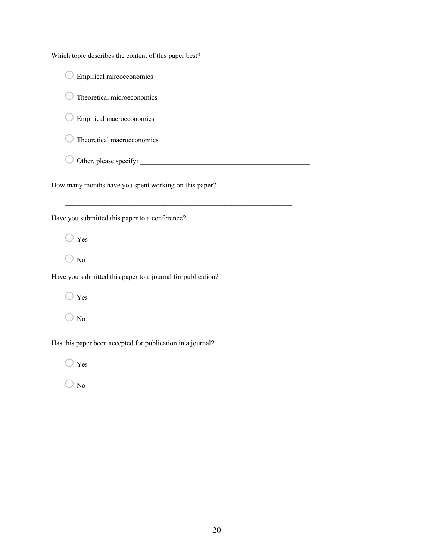Which topic describes the content of this paper best?

o Empirical mircoeconomics

o Theoretical microeconomics

 $\bigcirc$  Empirical macroeconomics

 $\bigcirc$  Theoretical macroeconomics

o Other, please specify: \_\_\_\_\_\_\_\_\_\_\_\_\_\_\_\_\_\_\_\_\_\_\_\_\_\_\_\_\_\_\_\_\_\_\_\_\_\_\_\_\_\_\_\_\_\_\_\_

\_\_\_\_\_\_\_\_\_\_\_\_\_\_\_\_\_\_\_\_\_\_\_\_\_\_\_\_\_\_\_\_\_\_\_\_\_\_\_\_\_\_\_\_\_\_\_\_\_\_\_\_\_\_\_\_\_\_\_\_\_\_\_\_

How many months have you spent working on this paper?

Have you submitted this paper to a conference?

 $\bigcirc$  Yes

 $\bigcirc$  No

Have you submitted this paper to a journal for publication?

 $\bigcirc$  Yes

 $\bigcirc$  No

Has this paper been accepted for publication in a journal?

 $\bigcirc$  Yes

 $\bigcirc$  No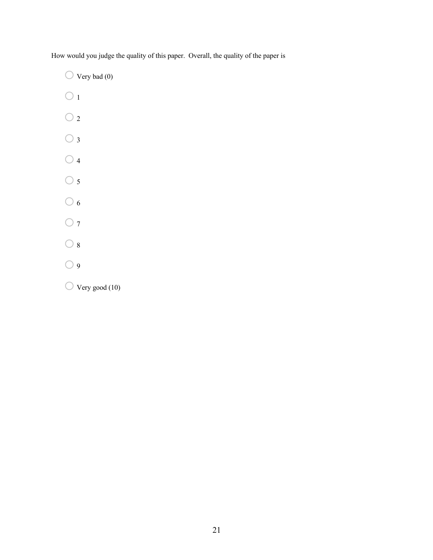How would you judge the quality of this paper. Overall, the quality of the paper is

 $\bigcirc$  Very bad (0)

- $\bigcirc$  1
- $\bigcirc$  2
- $\bigcirc$  3
- $\bigcirc$  4
- $\bigcirc$  5
- $\bigcirc$  6
- $\bigcirc$  7
- $\bigcirc$  8
- $\bigcirc$  9
- $\bigcirc$  Very good (10)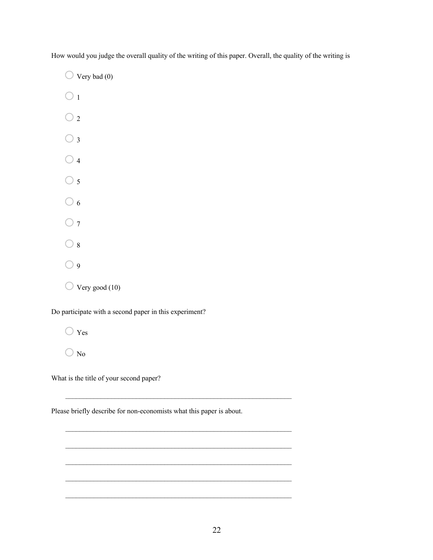How would you judge the overall quality of the writing of this paper. Overall, the quality of the writing is

 $\bigcirc$  Very bad (0)

- $\bigcirc$  1
- $\bigcirc$  2
- $\bigcirc$  3
- $\bigcirc$  4
- $\bigcirc$  5
- $\bigcirc$  6
- $\bigcirc$  7
- $\bigcirc$  8
- $\bigcirc$  9
- $\bigcirc$  Very good (10)

Do participate with a second paper in this experiment?

 $\bigcirc$  Yes

 $\bigcirc$  No

What is the title of your second paper?

Please briefly describe for non-economists what this paper is about.

 $\mathcal{L}_\text{max} = \frac{1}{2} \sum_{i=1}^n \mathcal{L}_\text{max}(\mathbf{z}_i - \mathbf{z}_i)$ 

\_\_\_\_\_\_\_\_\_\_\_\_\_\_\_\_\_\_\_\_\_\_\_\_\_\_\_\_\_\_\_\_\_\_\_\_\_\_\_\_\_\_\_\_\_\_\_\_\_\_\_\_\_\_\_\_\_\_\_\_\_\_\_\_

\_\_\_\_\_\_\_\_\_\_\_\_\_\_\_\_\_\_\_\_\_\_\_\_\_\_\_\_\_\_\_\_\_\_\_\_\_\_\_\_\_\_\_\_\_\_\_\_\_\_\_\_\_\_\_\_\_\_\_\_\_\_\_\_

\_\_\_\_\_\_\_\_\_\_\_\_\_\_\_\_\_\_\_\_\_\_\_\_\_\_\_\_\_\_\_\_\_\_\_\_\_\_\_\_\_\_\_\_\_\_\_\_\_\_\_\_\_\_\_\_\_\_\_\_\_\_\_\_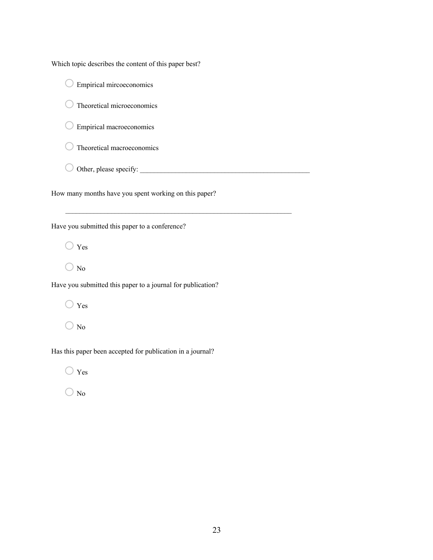Which topic describes the content of this paper best?

 $\bigcirc$  Empirical mircoeconomics

 $\bigcirc$  Theoretical microeconomics

 $\bigcirc$  Empirical macroeconomics

 $\bigcirc$  Theoretical macroeconomics

o Other, please specify: \_\_\_\_\_\_\_\_\_\_\_\_\_\_\_\_\_\_\_\_\_\_\_\_\_\_\_\_\_\_\_\_\_\_\_\_\_\_\_\_\_\_\_\_\_\_\_\_

How many months have you spent working on this paper?

\_\_\_\_\_\_\_\_\_\_\_\_\_\_\_\_\_\_\_\_\_\_\_\_\_\_\_\_\_\_\_\_\_\_\_\_\_\_\_\_\_\_\_\_\_\_\_\_\_\_\_\_\_\_\_\_\_\_\_\_\_\_\_\_

Have you submitted this paper to a conference?

 $\bigcirc$  Yes

 $\bigcirc$  No

Have you submitted this paper to a journal for publication?

 $\bigcirc$  Yes

 $\bigcirc$  No

Has this paper been accepted for publication in a journal?

 $\bigcirc$  Yes

 $\bigcirc$  No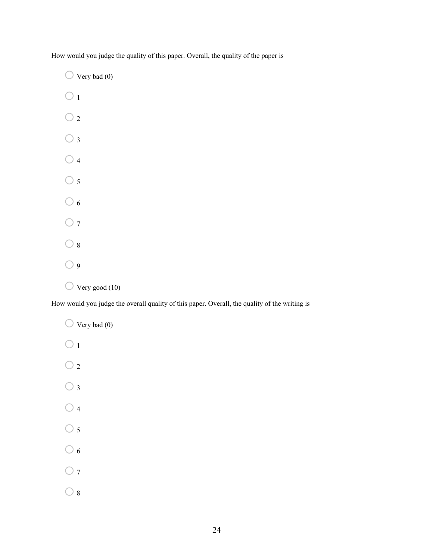How would you judge the quality of this paper. Overall, the quality of the paper is

 $\bigcirc$  Very bad (0)  $\bigcirc$ <sub>1</sub>  $\bigcirc$  2

 $\bigcirc$  4

 $\bigcirc$  3

- $\bigcirc$  5
- $\bigcirc$  6
- $\bigcirc$  7
- $\bigcirc$  8
- $\bigcirc$  9
- $\bigcirc$  Very good (10)

How would you judge the overall quality of this paper. Overall, the quality of the writing is

 $\bigcirc$  Very bad (0)  $\bigcirc$ <sub>1</sub>  $\bigcirc$  2  $\bigcirc$  3  $\bigcirc$  4  $\bigcirc$  5  $\bigcirc$  6  $\bigcirc$  7  $\bigcirc$  8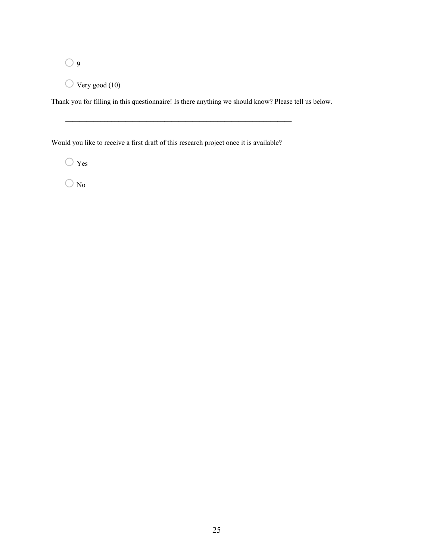$\bigcirc$  9

 $\bigcirc$  Very good (10)

Thank you for filling in this questionnaire! Is there anything we should know? Please tell us below.

Would you like to receive a first draft of this research project once it is available?

 $\mathcal{L}_\text{max} = \frac{1}{2} \sum_{i=1}^n \mathcal{L}_\text{max}(\mathbf{z}_i - \mathbf{z}_i)$ 

 $\bigcirc$  Yes

 $\bigcirc$  No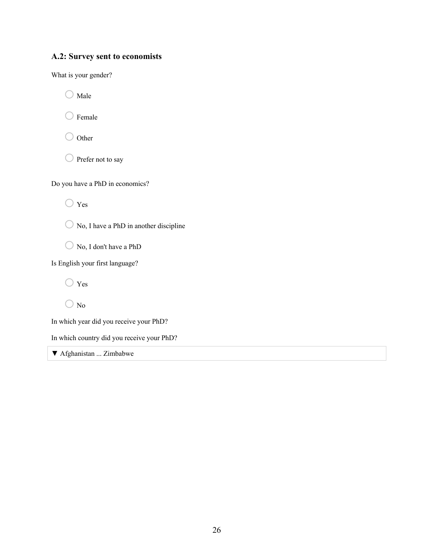# **A.2: Survey sent to economists**

What is your gender?

 $\bigcirc$  Male

 $\bigcirc$  Female

 $\bigcirc$  Other

 $\bigcirc$  Prefer not to say

Do you have a PhD in economics?

 $\bigcirc$  Yes



O No, I don't have a PhD

Is English your first language?

o Yes

 $\bigcirc$  No

In which year did you receive your PhD?

In which country did you receive your PhD?

▼ Afghanistan ... Zimbabwe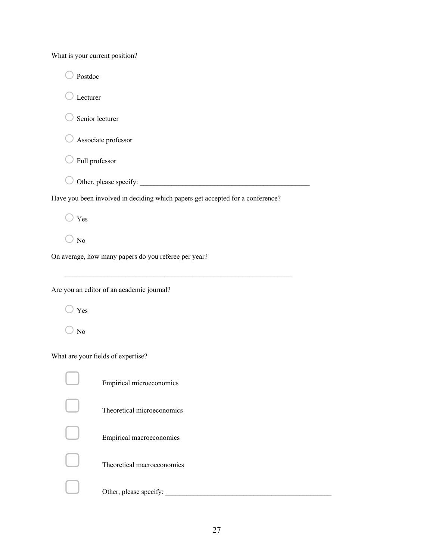What is your current position?

| Postdoc        |                                                                                                                                                 |
|----------------|-------------------------------------------------------------------------------------------------------------------------------------------------|
| Lecturer       |                                                                                                                                                 |
|                | Senior lecturer                                                                                                                                 |
|                | Associate professor                                                                                                                             |
| Full professor |                                                                                                                                                 |
|                | Other, please specify:                                                                                                                          |
|                | Have you been involved in deciding which papers get accepted for a conference?                                                                  |
| Yes            |                                                                                                                                                 |
| No             |                                                                                                                                                 |
|                | On average, how many papers do you referee per year?                                                                                            |
|                | Are you an editor of an academic journal?                                                                                                       |
| Yes            |                                                                                                                                                 |
| No             |                                                                                                                                                 |
|                | What are your fields of expertise?                                                                                                              |
|                | Empirical microeconomics                                                                                                                        |
|                | Theoretical microeconomics                                                                                                                      |
|                | Empirical macroeconomics                                                                                                                        |
|                | Theoretical macroeconomics                                                                                                                      |
|                | Other, please specify:<br><u> 1980 - Johann Barn, mars ann an t-Amhair Aonaich ann an t-Amhair Aonaich ann an t-Amhair Aonaich ann an t-Amh</u> |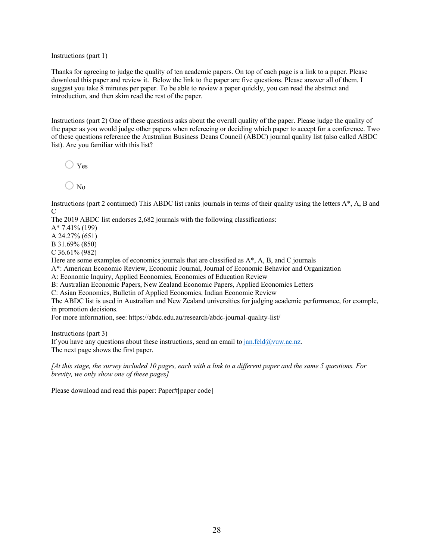Instructions (part 1)

Thanks for agreeing to judge the quality of ten academic papers. On top of each page is a link to a paper. Please download this paper and review it. Below the link to the paper are five questions. Please answer all of them. I suggest you take 8 minutes per paper. To be able to review a paper quickly, you can read the abstract and introduction, and then skim read the rest of the paper.

Instructions (part 2) One of these questions asks about the overall quality of the paper. Please judge the quality of the paper as you would judge other papers when refereeing or deciding which paper to accept for a conference. Two of these questions reference the Australian Business Deans Council (ABDC) journal quality list (also called ABDC list). Are you familiar with this list?

 $\bigcirc$  Yes

 $\bigcirc$  No

Instructions (part 2 continued) This ABDC list ranks journals in terms of their quality using the letters A\*, A, B and C

The 2019 ABDC list endorses 2,682 journals with the following classifications:

A\* 7.41% (199)

A 24.27% (651)

B 31.69% (850)

C 36.61% (982)

Here are some examples of economics journals that are classified as  $A^*$ , A, B, and C journals

A\*: American Economic Review, Economic Journal, Journal of Economic Behavior and Organization

A: Economic Inquiry, Applied Economics, Economics of Education Review

B: Australian Economic Papers, New Zealand Economic Papers, Applied Economics Letters

C: Asian Economies, Bulletin of Applied Economics, Indian Economic Review

The ABDC list is used in Australian and New Zealand universities for judging academic performance, for example, in promotion decisions.

For more information, see: https://abdc.edu.au/research/abdc-journal-quality-list/

Instructions (part 3)

If you have any questions about these instructions, send an email to  $jan.feld@vuw.ac.nz$ . The next page shows the first paper.

*[At this stage, the survey included 10 pages, each with a link to a different paper and the same 5 questions. For brevity, we only show one of these pages]*

Please download and read this paper: Paper#[paper code]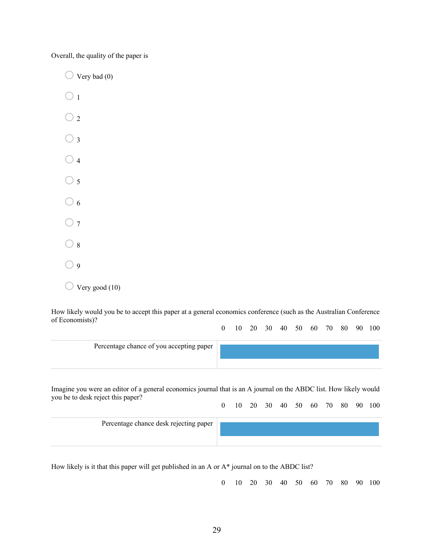Overall, the quality of the paper is

 $\bigcirc$  Very bad (0)  $\bigcirc$  1  $\bigcirc$  2  $\bigcirc$  3  $\bigcirc$  4  $\bigcirc$  5  $\bigcirc$  6  $\bigcirc$  7  $\bigcirc$  8  $\bigcirc$  9  $\bigcirc$  Very good (10)

How likely would you be to accept this paper at a general economics conference (such as the Australian Conference of Economists)? 0 10 20 30 40 50 60 70 80 90 100

| Percentage chance of you accepting paper                                                                          |  |
|-------------------------------------------------------------------------------------------------------------------|--|
| Imagine you were an editor of a general economics journal that is an A journal on the ABDC list. How likely would |  |

Imagine you were an editor of a general economics journal that is an A journal on the ABDC list. How likely would you be to desk reject this paper? 0 10 20 30 40 50 60 70 80 90 100

| Percentage chance desk rejecting paper |  |
|----------------------------------------|--|
|                                        |  |
|                                        |  |

How likely is it that this paper will get published in an A or A\* journal on to the ABDC list?

0 10 20 30 40 50 60 70 80 90 100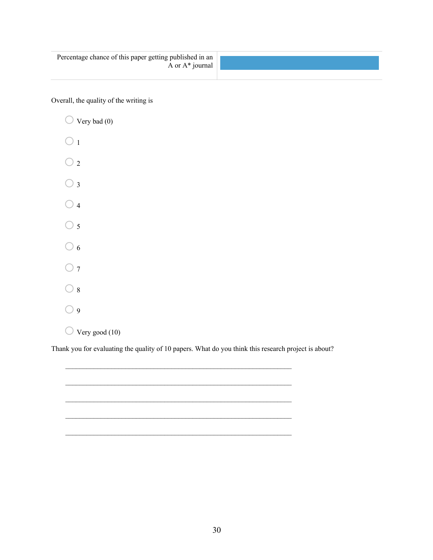| Percentage chance of this paper getting published in an<br>A or $A^*$ journal |  |
|-------------------------------------------------------------------------------|--|
|                                                                               |  |

Overall, the quality of the writing is

 $\bigcirc$  Very bad (0)  $\bigcirc$  1  $\bigcirc$  2  $\bigcirc$  3  $\bigcirc$  4  $\bigcirc$  5  $\bigcirc$  6  $\bigcirc$  7  $\bigcirc$  8  $\bigcirc$  9  $\bigcirc$  Very good (10)

Thank you for evaluating the quality of 10 papers. What do you think this research project is about?

\_\_\_\_\_\_\_\_\_\_\_\_\_\_\_\_\_\_\_\_\_\_\_\_\_\_\_\_\_\_\_\_\_\_\_\_\_\_\_\_\_\_\_\_\_\_\_\_\_\_\_\_\_\_\_\_\_\_\_\_\_\_\_\_

\_\_\_\_\_\_\_\_\_\_\_\_\_\_\_\_\_\_\_\_\_\_\_\_\_\_\_\_\_\_\_\_\_\_\_\_\_\_\_\_\_\_\_\_\_\_\_\_\_\_\_\_\_\_\_\_\_\_\_\_\_\_\_\_

 $\mathcal{L}_\text{max} = \frac{1}{2} \sum_{i=1}^n \mathcal{L}_\text{max}(\mathbf{z}_i - \mathbf{z}_i)$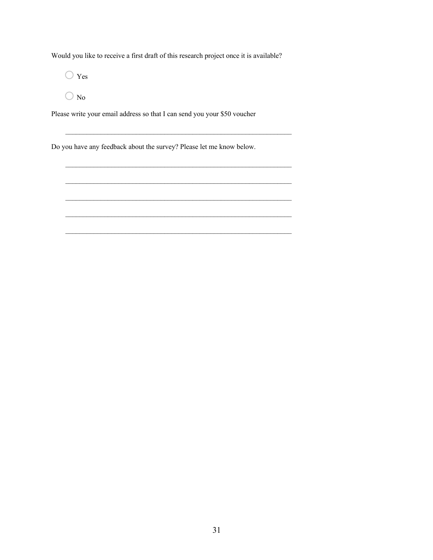Would you like to receive a first draft of this research project once it is available?

 $\bigcirc$  Yes

 $\bigcirc$  No

Please write your email address so that I can send you your \$50 voucher

Do you have any feedback about the survey? Please let me know below.

\_\_\_\_\_\_\_\_\_\_\_\_\_\_\_\_\_\_\_\_\_\_\_\_\_\_\_\_\_\_\_\_\_\_\_\_\_\_\_\_\_\_\_\_\_\_\_\_\_\_\_\_\_\_\_\_\_\_\_\_\_\_\_\_

\_\_\_\_\_\_\_\_\_\_\_\_\_\_\_\_\_\_\_\_\_\_\_\_\_\_\_\_\_\_\_\_\_\_\_\_\_\_\_\_\_\_\_\_\_\_\_\_\_\_\_\_\_\_\_\_\_\_\_\_\_\_\_\_

\_\_\_\_\_\_\_\_\_\_\_\_\_\_\_\_\_\_\_\_\_\_\_\_\_\_\_\_\_\_\_\_\_\_\_\_\_\_\_\_\_\_\_\_\_\_\_\_\_\_\_\_\_\_\_\_\_\_\_\_\_\_\_\_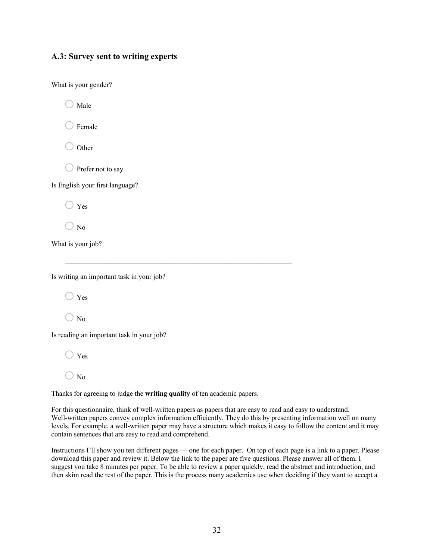# **A.3: Survey sent to writing experts**

What is your gender?

 $\bigcirc$  Male

 $\bigcirc$  Female

 $\bigcirc$  Other

 $\bigcirc$  Prefer not to say

Is English your first language?

 $\bigcirc$  Yes

 $\bigcirc$  No

What is your job?

Is writing an important task in your job?

 $\bigcirc$  Yes

 $\bigcirc$  No

Is reading an important task in your job?

 $\bigcirc$  Yes

 $\bigcirc$  No

Thanks for agreeing to judge the **writing quality** of ten academic papers.

\_\_\_\_\_\_\_\_\_\_\_\_\_\_\_\_\_\_\_\_\_\_\_\_\_\_\_\_\_\_\_\_\_\_\_\_\_\_\_\_\_\_\_\_\_\_\_\_\_\_\_\_\_\_\_\_\_\_\_\_\_\_\_\_

For this questionnaire, think of well-written papers as papers that are easy to read and easy to understand. Well-written papers convey complex information efficiently. They do this by presenting information well on many levels. For example, a well-written paper may have a structure which makes it easy to follow the content and it may contain sentences that are easy to read and comprehend.

Instructions I'll show you ten different pages — one for each paper. On top of each page is a link to a paper. Please download this paper and review it. Below the link to the paper are five questions. Please answer all of them. I suggest you take 8 minutes per paper. To be able to review a paper quickly, read the abstract and introduction, and then skim read the rest of the paper. This is the process many academics use when deciding if they want to accept a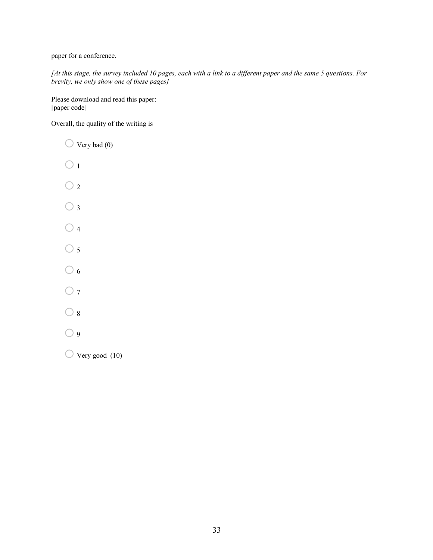paper for a conference.

*[At this stage, the survey included 10 pages, each with a link to a different paper and the same 5 questions. For brevity, we only show one of these pages]*

Please download and read this paper: [paper code]

Overall, the quality of the writing is

- $\bigcirc$  Very bad (0)
- $\bigcirc$  1
- $\bigcirc$  2
- $\bigcirc$  3
- $\bigcirc$  4
- $\bigcirc$  5
- $\bigcirc$  6
- $\bigcirc$  7
- $\bigcirc$  8
- $\bigcirc$  9

 $\bigcirc$  Very good (10)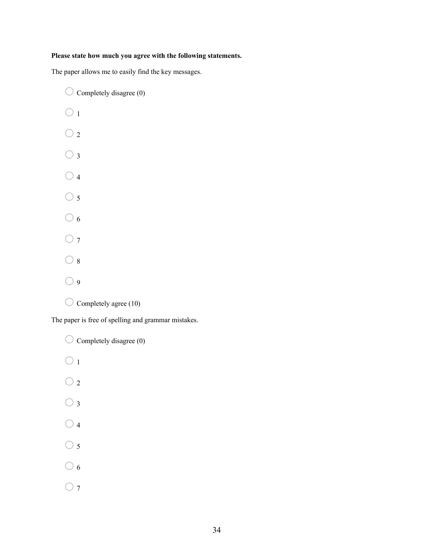## **Please state how much you agree with the following statements.**

The paper allows me to easily find the key messages.

 $\bigcirc$  Completely disagree (0)  $\bigcirc$ <sub>1</sub>  $\bigcirc$  2  $\bigcirc$  3  $\bigcirc$  4  $\bigcirc$  5  $\bigcirc$  6  $\bigcirc$  7  $\bigcirc$  8  $\bigcirc$  9  $\bigcirc$  Completely agree (10) The paper is free of spelling and grammar mistakes.

 $\bigcirc$  Completely disagree (0)  $\bigcirc$  1  $\bigcirc$  2  $\bigcirc$  3  $\bigcirc$  4  $\bigcirc$  5  $\bigcirc$  6  $\bigcirc$  7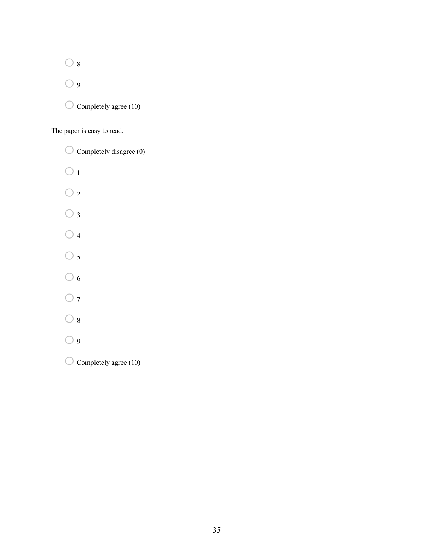$\bigcirc$  8

 $\bigcirc$  9

 $\bigcirc$  Completely agree (10)

The paper is easy to read.

 $\bigcirc$  Completely disagree (0)  $\bigcirc$  1  $\bigcirc$  2  $\bigcirc$  3  $\bigcirc$  4  $\bigcirc$  5  $\bigcirc$  6  $\bigcirc$  7  $\bigcirc$  8  $\bigcirc$  9  $\bigcirc$  Completely agree (10)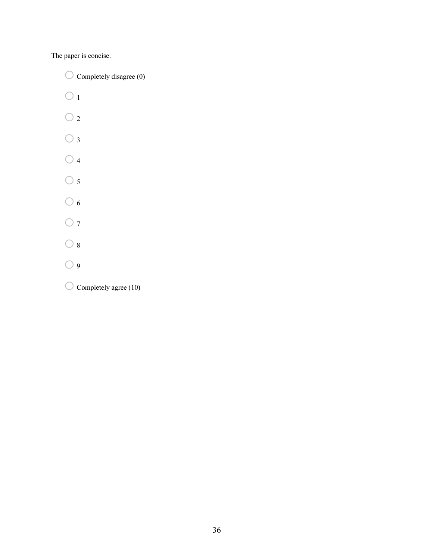The paper is concise.

 $\bigcirc$  Completely disagree (0)

 $\bigcirc$ <sub>1</sub>

- $\bigcirc$  2
- $\bigcirc$  3
- $\bigcirc$  4
- $\bigcirc$  5
- $\bigcirc$  6
- $\bigcirc$  7
- $\bigcirc$  8
- $\bigcirc$  9
- $\bigcirc$  Completely agree (10)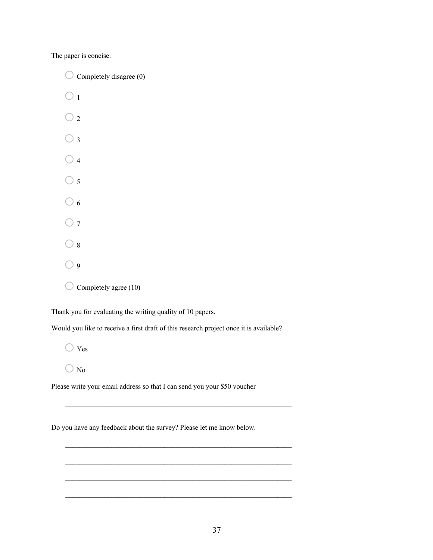The paper is concise.

 $\bigcirc$  Completely disagree (0)  $\bigcirc$  1  $\bigcirc$  $\bigcirc$  3  $\bigcirc$  4  $\bigcirc$  5  $\bigcirc$  6  $\bigcirc$  7  $\bigcirc$  8  $\bigcirc$  9  $\bigcirc$  Completely agree (10)

Thank you for evaluating the writing quality of 10 papers.

Would you like to receive a first draft of this research project once it is available?

 $\bigcirc$  Yes

 $\bigcirc$  No

Please write your email address so that I can send you your \$50 voucher

Do you have any feedback about the survey? Please let me know below.

\_\_\_\_\_\_\_\_\_\_\_\_\_\_\_\_\_\_\_\_\_\_\_\_\_\_\_\_\_\_\_\_\_\_\_\_\_\_\_\_\_\_\_\_\_\_\_\_\_\_\_\_\_\_\_\_\_\_\_\_\_\_\_\_

\_\_\_\_\_\_\_\_\_\_\_\_\_\_\_\_\_\_\_\_\_\_\_\_\_\_\_\_\_\_\_\_\_\_\_\_\_\_\_\_\_\_\_\_\_\_\_\_\_\_\_\_\_\_\_\_\_\_\_\_\_\_\_\_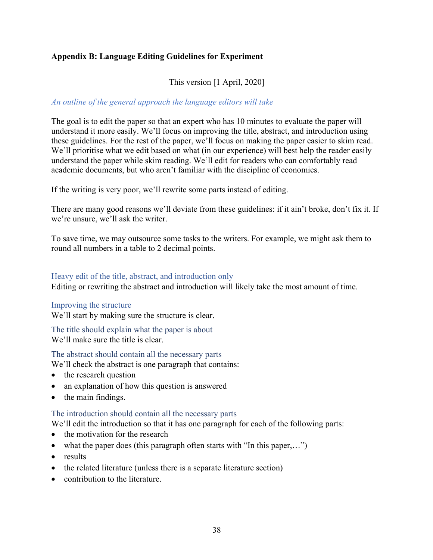# **Appendix B: Language Editing Guidelines for Experiment**

# This version [1 April, 2020]

# *An outline of the general approach the language editors will take*

The goal is to edit the paper so that an expert who has 10 minutes to evaluate the paper will understand it more easily. We'll focus on improving the title, abstract, and introduction using these guidelines. For the rest of the paper, we'll focus on making the paper easier to skim read. We'll prioritise what we edit based on what (in our experience) will best help the reader easily understand the paper while skim reading. We'll edit for readers who can comfortably read academic documents, but who aren't familiar with the discipline of economics.

If the writing is very poor, we'll rewrite some parts instead of editing.

There are many good reasons we'll deviate from these guidelines: if it ain't broke, don't fix it. If we're unsure, we'll ask the writer.

To save time, we may outsource some tasks to the writers. For example, we might ask them to round all numbers in a table to 2 decimal points.

## Heavy edit of the title, abstract, and introduction only

Editing or rewriting the abstract and introduction will likely take the most amount of time.

#### Improving the structure

We'll start by making sure the structure is clear.

The title should explain what the paper is about We'll make sure the title is clear.

The abstract should contain all the necessary parts

We'll check the abstract is one paragraph that contains:

- the research question
- an explanation of how this question is answered
- the main findings.

## The introduction should contain all the necessary parts

We'll edit the introduction so that it has one paragraph for each of the following parts:

- the motivation for the research
- what the paper does (this paragraph often starts with "In this paper,...")
- results
- the related literature (unless there is a separate literature section)
- contribution to the literature.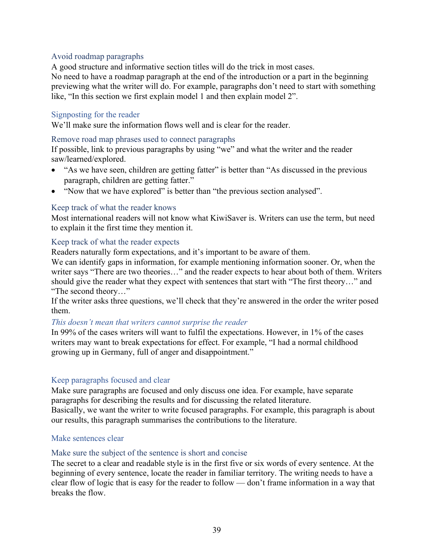# Avoid roadmap paragraphs

A good structure and informative section titles will do the trick in most cases.

No need to have a roadmap paragraph at the end of the introduction or a part in the beginning previewing what the writer will do. For example, paragraphs don't need to start with something like, "In this section we first explain model 1 and then explain model 2".

# Signposting for the reader

We'll make sure the information flows well and is clear for the reader.

# Remove road map phrases used to connect paragraphs

If possible, link to previous paragraphs by using "we" and what the writer and the reader saw/learned/explored.

- "As we have seen, children are getting fatter" is better than "As discussed in the previous paragraph, children are getting fatter."
- "Now that we have explored" is better than "the previous section analysed".

# Keep track of what the reader knows

Most international readers will not know what KiwiSaver is. Writers can use the term, but need to explain it the first time they mention it.

# Keep track of what the reader expects

Readers naturally form expectations, and it's important to be aware of them.

We can identify gaps in information, for example mentioning information sooner. Or, when the writer says "There are two theories…" and the reader expects to hear about both of them. Writers should give the reader what they expect with sentences that start with "The first theory…" and "The second theory…"

If the writer asks three questions, we'll check that they're answered in the order the writer posed them.

# *This doesn't mean that writers cannot surprise the reader*

In 99% of the cases writers will want to fulfil the expectations. However, in 1% of the cases writers may want to break expectations for effect. For example, "I had a normal childhood growing up in Germany, full of anger and disappointment."

# Keep paragraphs focused and clear

Make sure paragraphs are focused and only discuss one idea. For example, have separate paragraphs for describing the results and for discussing the related literature. Basically, we want the writer to write focused paragraphs. For example, this paragraph is about our results, this paragraph summarises the contributions to the literature.

# Make sentences clear

# Make sure the subject of the sentence is short and concise

The secret to a clear and readable style is in the first five or six words of every sentence. At the beginning of every sentence, locate the reader in familiar territory. The writing needs to have a clear flow of logic that is easy for the reader to follow — don't frame information in a way that breaks the flow.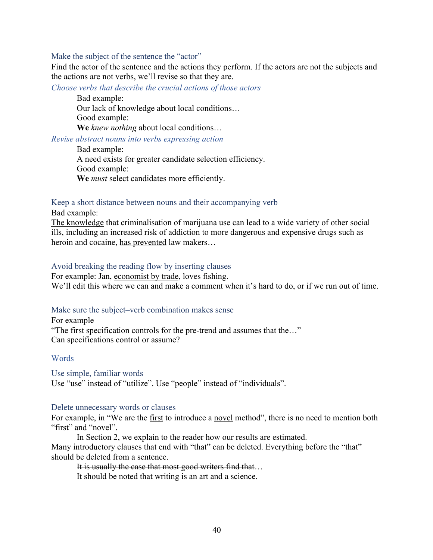#### Make the subject of the sentence the "actor"

Find the actor of the sentence and the actions they perform. If the actors are not the subjects and the actions are not verbs, we'll revise so that they are.

*Choose verbs that describe the crucial actions of those actors*

Bad example:

Our lack of knowledge about local conditions…

Good example:

**We** *knew nothing* about local conditions…

*Revise abstract nouns into verbs expressing action* 

Bad example: A need exists for greater candidate selection efficiency. Good example: **We** *must* select candidates more efficiently.

#### Keep a short distance between nouns and their accompanying verb

Bad example:

The knowledge that criminalisation of marijuana use can lead to a wide variety of other social ills, including an increased risk of addiction to more dangerous and expensive drugs such as heroin and cocaine, has prevented law makers…

## Avoid breaking the reading flow by inserting clauses

For example: Jan, economist by trade, loves fishing. We'll edit this where we can and make a comment when it's hard to do, or if we run out of time.

#### Make sure the subject–verb combination makes sense

For example "The first specification controls for the pre-trend and assumes that the…" Can specifications control or assume?

#### **Words**

Use simple, familiar words Use "use" instead of "utilize". Use "people" instead of "individuals".

#### Delete unnecessary words or clauses

For example, in "We are the <u>first</u> to introduce a novel method", there is no need to mention both "first" and "novel".

In Section 2, we explain to the reader how our results are estimated. Many introductory clauses that end with "that" can be deleted. Everything before the "that" should be deleted from a sentence.

It is usually the case that most good writers find that...

It should be noted that writing is an art and a science.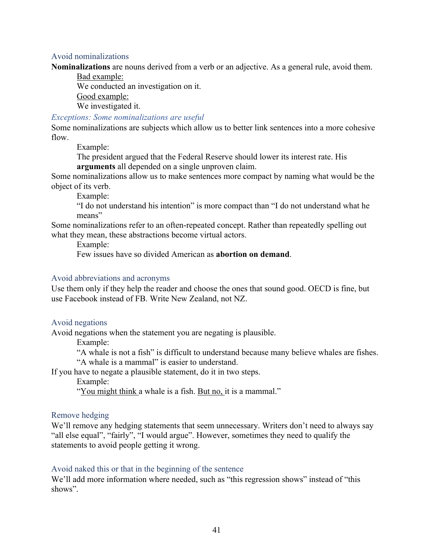## Avoid nominalizations

**Nominalizations** are nouns derived from a verb or an adjective. As a general rule, avoid them.

Bad example: We conducted an investigation on it. Good example: We investigated it.

## *Exceptions: Some nominalizations are useful*

Some nominalizations are subjects which allow us to better link sentences into a more cohesive flow.

Example:

The president argued that the Federal Reserve should lower its interest rate. His **arguments** all depended on a single unproven claim.

Some nominalizations allow us to make sentences more compact by naming what would be the object of its verb.

Example:

"I do not understand his intention" is more compact than "I do not understand what he means"

Some nominalizations refer to an often-repeated concept. Rather than repeatedly spelling out what they mean, these abstractions become virtual actors.

Example:

Few issues have so divided American as **abortion on demand**.

#### Avoid abbreviations and acronyms

Use them only if they help the reader and choose the ones that sound good. OECD is fine, but use Facebook instead of FB. Write New Zealand, not NZ.

## Avoid negations

Avoid negations when the statement you are negating is plausible.

Example:

"A whale is not a fish" is difficult to understand because many believe whales are fishes. "A whale is a mammal" is easier to understand.

If you have to negate a plausible statement, do it in two steps.

Example:

"You might think a whale is a fish. But no, it is a mammal."

#### Remove hedging

We'll remove any hedging statements that seem unnecessary. Writers don't need to always say "all else equal", "fairly", "I would argue". However, sometimes they need to qualify the statements to avoid people getting it wrong.

# Avoid naked this or that in the beginning of the sentence

We'll add more information where needed, such as "this regression shows" instead of "this shows".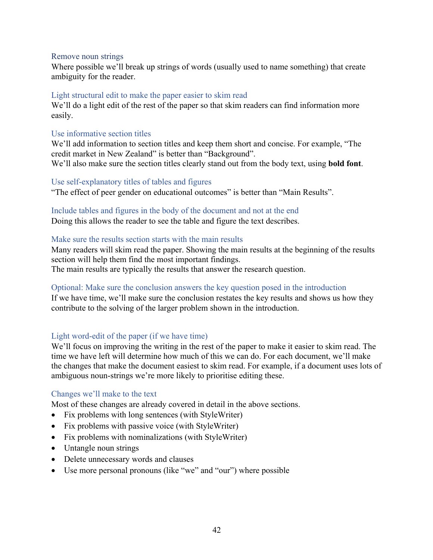## Remove noun strings

Where possible we'll break up strings of words (usually used to name something) that create ambiguity for the reader.

# Light structural edit to make the paper easier to skim read

We'll do a light edit of the rest of the paper so that skim readers can find information more easily.

# Use informative section titles

We'll add information to section titles and keep them short and concise. For example, "The credit market in New Zealand" is better than "Background". We'll also make sure the section titles clearly stand out from the body text, using **bold font**.

# Use self-explanatory titles of tables and figures

"The effect of peer gender on educational outcomes" is better than "Main Results".

# Include tables and figures in the body of the document and not at the end

Doing this allows the reader to see the table and figure the text describes.

# Make sure the results section starts with the main results

Many readers will skim read the paper. Showing the main results at the beginning of the results section will help them find the most important findings. The main results are typically the results that answer the research question.

# Optional: Make sure the conclusion answers the key question posed in the introduction

If we have time, we'll make sure the conclusion restates the key results and shows us how they contribute to the solving of the larger problem shown in the introduction.

# Light word-edit of the paper (if we have time)

We'll focus on improving the writing in the rest of the paper to make it easier to skim read. The time we have left will determine how much of this we can do. For each document, we'll make the changes that make the document easiest to skim read. For example, if a document uses lots of ambiguous noun-strings we're more likely to prioritise editing these.

# Changes we'll make to the text

Most of these changes are already covered in detail in the above sections.

- Fix problems with long sentences (with StyleWriter)
- Fix problems with passive voice (with StyleWriter)
- Fix problems with nominalizations (with StyleWriter)
- Untangle noun strings
- Delete unnecessary words and clauses
- Use more personal pronouns (like "we" and "our") where possible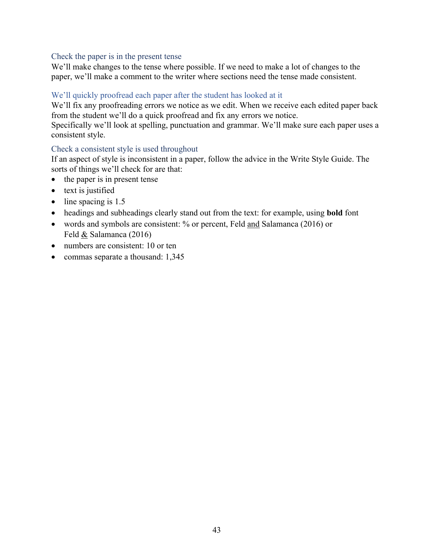# Check the paper is in the present tense

We'll make changes to the tense where possible. If we need to make a lot of changes to the paper, we'll make a comment to the writer where sections need the tense made consistent.

# We'll quickly proofread each paper after the student has looked at it

We'll fix any proofreading errors we notice as we edit. When we receive each edited paper back from the student we'll do a quick proofread and fix any errors we notice. Specifically we'll look at spelling, punctuation and grammar. We'll make sure each paper uses a

consistent style.

# Check a consistent style is used throughout

If an aspect of style is inconsistent in a paper, follow the advice in the Write Style Guide. The sorts of things we'll check for are that:

- the paper is in present tense
- text is justified
- line spacing is 1.5
- headings and subheadings clearly stand out from the text: for example, using **bold** font
- words and symbols are consistent: % or percent, Feld and Salamanca (2016) or Feld & Salamanca (2016)
- numbers are consistent: 10 or ten
- commas separate a thousand: 1,345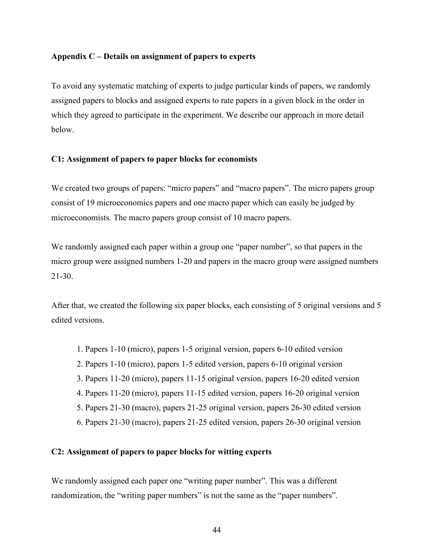## **Appendix C – Details on assignment of papers to experts**

To avoid any systematic matching of experts to judge particular kinds of papers, we randomly assigned papers to blocks and assigned experts to rate papers in a given block in the order in which they agreed to participate in the experiment. We describe our approach in more detail below.

## **C1: Assignment of papers to paper blocks for economists**

We created two groups of papers: "micro papers" and "macro papers". The micro papers group consist of 19 microeconomics papers and one macro paper which can easily be judged by microeconomists. The macro papers group consist of 10 macro papers.

We randomly assigned each paper within a group one "paper number", so that papers in the micro group were assigned numbers 1-20 and papers in the macro group were assigned numbers 21-30.

After that, we created the following six paper blocks, each consisting of 5 original versions and 5 edited versions.

- 1. Papers 1-10 (micro), papers 1-5 original version, papers 6-10 edited version
- 2. Papers 1-10 (micro), papers 1-5 edited version, papers 6-10 original version
- 3. Papers 11-20 (micro), papers 11-15 original version, papers 16-20 edited version
- 4. Papers 11-20 (micro), papers 11-15 edited version, papers 16-20 original version
- 5. Papers 21-30 (macro), papers 21-25 original version, papers 26-30 edited version
- 6. Papers 21-30 (macro), papers 21-25 edited version, papers 26-30 original version

# **C2: Assignment of papers to paper blocks for witting experts**

We randomly assigned each paper one "writing paper number". This was a different randomization, the "writing paper numbers" is not the same as the "paper numbers".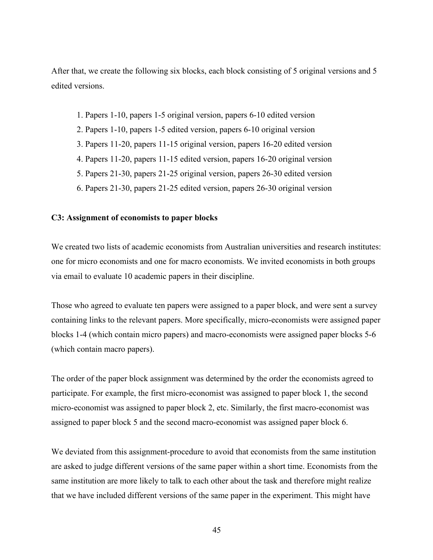After that, we create the following six blocks, each block consisting of 5 original versions and 5 edited versions.

- 1. Papers 1-10, papers 1-5 original version, papers 6-10 edited version
- 2. Papers 1-10, papers 1-5 edited version, papers 6-10 original version
- 3. Papers 11-20, papers 11-15 original version, papers 16-20 edited version
- 4. Papers 11-20, papers 11-15 edited version, papers 16-20 original version
- 5. Papers 21-30, papers 21-25 original version, papers 26-30 edited version
- 6. Papers 21-30, papers 21-25 edited version, papers 26-30 original version

## **C3: Assignment of economists to paper blocks**

We created two lists of academic economists from Australian universities and research institutes: one for micro economists and one for macro economists. We invited economists in both groups via email to evaluate 10 academic papers in their discipline.

Those who agreed to evaluate ten papers were assigned to a paper block, and were sent a survey containing links to the relevant papers. More specifically, micro-economists were assigned paper blocks 1-4 (which contain micro papers) and macro-economists were assigned paper blocks 5-6 (which contain macro papers).

The order of the paper block assignment was determined by the order the economists agreed to participate. For example, the first micro-economist was assigned to paper block 1, the second micro-economist was assigned to paper block 2, etc. Similarly, the first macro-economist was assigned to paper block 5 and the second macro-economist was assigned paper block 6.

We deviated from this assignment-procedure to avoid that economists from the same institution are asked to judge different versions of the same paper within a short time. Economists from the same institution are more likely to talk to each other about the task and therefore might realize that we have included different versions of the same paper in the experiment. This might have